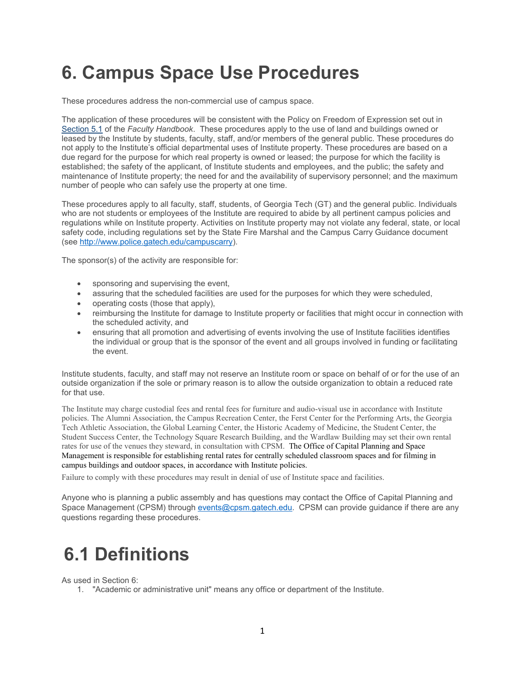# **6. Campus Space Use Procedures**

These procedures address the non-commercial use of campus space.

The application of these procedures will be consistent with the Policy on Freedom of Expression set out in [Section 5.1](https://policylibrary.gatech.edu/faculty-handbook/5.1-policy-freedom-expression) of the *Faculty Handbook*. These procedures apply to the use of land and buildings owned or leased by the Institute by students, faculty, staff, and/or members of the general public. These procedures do not apply to the Institute's official departmental uses of Institute property. These procedures are based on a due regard for the purpose for which real property is owned or leased; the purpose for which the facility is established; the safety of the applicant, of Institute students and employees, and the public; the safety and maintenance of Institute property; the need for and the availability of supervisory personnel; and the maximum number of people who can safely use the property at one time.

These procedures apply to all faculty, staff, students, of Georgia Tech (GT) and the general public. Individuals who are not students or employees of the Institute are required to abide by all pertinent campus policies and regulations while on Institute property. Activities on Institute property may not violate any federal, state, or local safety code, including regulations set by the State Fire Marshal and the Campus Carry Guidance document (see [http://www.police.gatech.edu/campuscarry\)](http://www.police.gatech.edu/campuscarry).

The sponsor(s) of the activity are responsible for:

- sponsoring and supervising the event,
- assuring that the scheduled facilities are used for the purposes for which they were scheduled,
- operating costs (those that apply),
- reimbursing the Institute for damage to Institute property or facilities that might occur in connection with the scheduled activity, and
- ensuring that all promotion and advertising of events involving the use of Institute facilities identifies the individual or group that is the sponsor of the event and all groups involved in funding or facilitating the event.

Institute students, faculty, and staff may not reserve an Institute room or space on behalf of or for the use of an outside organization if the sole or primary reason is to allow the outside organization to obtain a reduced rate for that use.

The Institute may charge custodial fees and rental fees for furniture and audio-visual use in accordance with Institute policies. The Alumni Association, the Campus Recreation Center, the Ferst Center for the Performing Arts, the Georgia Tech Athletic Association, the Global Learning Center, the Historic Academy of Medicine, the Student Center, the Student Success Center, the Technology Square Research Building, and the Wardlaw Building may set their own rental rates for use of the venues they steward, in consultation with CPSM. The Office of Capital Planning and Space Management is responsible for establishing rental rates for centrally scheduled classroom spaces and for filming in campus buildings and outdoor spaces, in accordance with Institute policies.

Failure to comply with these procedures may result in denial of use of Institute space and facilities.

Anyone who is planning a public assembly and has questions may contact the Office of Capital Planning and Space Management (CPSM) through [events@cpsm.gatech.edu.](mailto:events@cpsm.gatech.edu) CPSM can provide guidance if there are any questions regarding these procedures.

# **6.1 Definitions**

As used in Section 6:

1. "Academic or administrative unit" means any office or department of the Institute.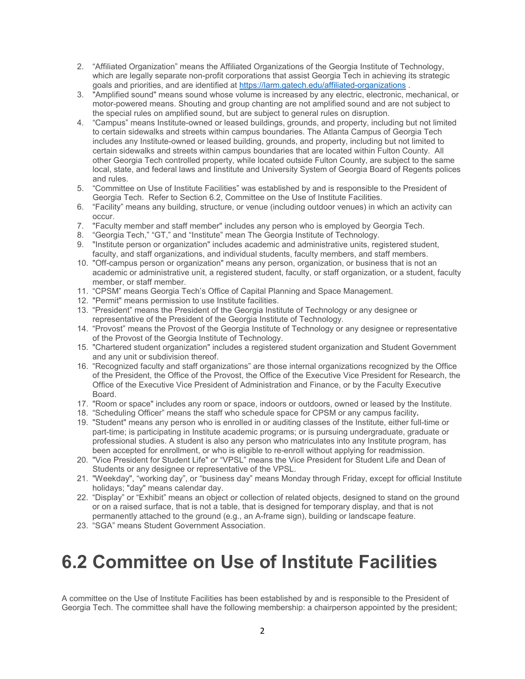- 2. "Affiliated Organization" means the Affiliated Organizations of the Georgia Institute of Technology, which are legally separate non-profit corporations that assist Georgia Tech in achieving its strategic goals and priorities, and are identified at <https://larm.gatech.edu/affiliated-organizations> .
- 3. "Amplified sound" means sound whose volume is increased by any electric, electronic, mechanical, or motor-powered means. Shouting and group chanting are not amplified sound and are not subject to the special rules on amplified sound, but are subject to general rules on disruption.
- 4. "Campus" means Institute-owned or leased buildings, grounds, and property, including but not limited to certain sidewalks and streets within campus boundaries. The Atlanta Campus of Georgia Tech includes any Institute-owned or leased building, grounds, and property, including but not limited to certain sidewalks and streets within campus boundaries that are located within Fulton County. All other Georgia Tech controlled property, while located outside Fulton County, are subject to the same local, state, and federal laws and Iinstitute and University System of Georgia Board of Regents polices and rules.
- 5. "Committee on Use of Institute Facilities" was established by and is responsible to the President of Georgia Tech. Refer to Section 6.2, Committee on the Use of Institute Facilities.
- 6. "Facility" means any building, structure, or venue (including outdoor venues) in which an activity can occur.
- 7. "Faculty member and staff member" includes any person who is employed by Georgia Tech.
- 8. "Georgia Tech," "GT," and "Institute" mean The Georgia Institute of Technology.
- 9. "Institute person or organization" includes academic and administrative units, registered student, faculty, and staff organizations, and individual students, faculty members, and staff members.
- 10. "Off-campus person or organization" means any person, organization, or business that is not an academic or administrative unit, a registered student, faculty, or staff organization, or a student, faculty member, or staff member.
- 11. "CPSM" means Georgia Tech's Office of Capital Planning and Space Management.
- 12. "Permit" means permission to use Institute facilities.
- 13. "President" means the President of the Georgia Institute of Technology or any designee or representative of the President of the Georgia Institute of Technology.
- 14. "Provost" means the Provost of the Georgia Institute of Technology or any designee or representative of the Provost of the Georgia Institute of Technology.
- 15. "Chartered student organization" includes a registered student organization and Student Government and any unit or subdivision thereof.
- 16. "Recognized faculty and staff organizations" are those internal organizations recognized by the Office of the President, the Office of the Provost, the Office of the Executive Vice President for Research, the Office of the Executive Vice President of Administration and Finance, or by the Faculty Executive Board.
- 17. "Room or space" includes any room or space, indoors or outdoors, owned or leased by the Institute.
- 18. "Scheduling Officer" means the staff who schedule space for CPSM or any campus facility**.**
- 19. "Student" means any person who is enrolled in or auditing classes of the Institute, either full-time or part-time; is participating in Institute academic programs; or is pursuing undergraduate, graduate or professional studies. A student is also any person who matriculates into any Institute program, has been accepted for enrollment, or who is eligible to re-enroll without applying for readmission.
- 20. "Vice President for Student Life" or "VPSL" means the Vice President for Student Life and Dean of Students or any designee or representative of the VPSL.
- 21. "Weekday", "working day", or "business day" means Monday through Friday, except for official Institute holidays; "day" means calendar day.
- 22. "Display" or "Exhibit" means an object or collection of related objects, designed to stand on the ground or on a raised surface, that is not a table, that is designed for temporary display, and that is not permanently attached to the ground (e.g., an A-frame sign), building or landscape feature.
- 23. "SGA" means Student Government Association.

# **6.2 Committee on Use of Institute Facilities**

A committee on the Use of Institute Facilities has been established by and is responsible to the President of Georgia Tech. The committee shall have the following membership: a chairperson appointed by the president;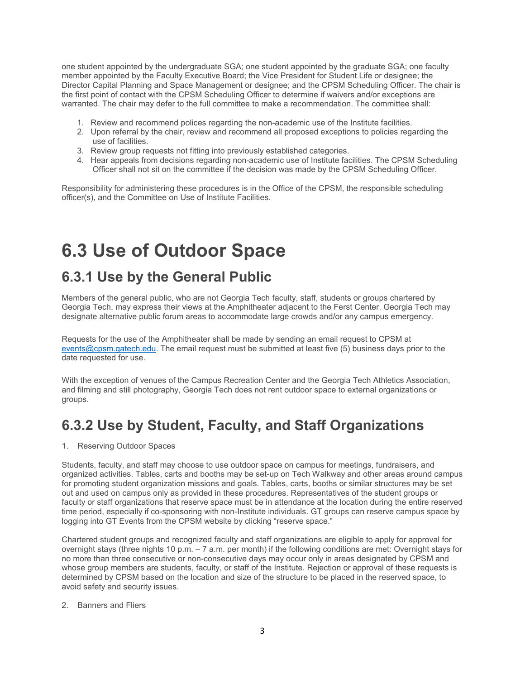one student appointed by the undergraduate SGA; one student appointed by the graduate SGA; one faculty member appointed by the Faculty Executive Board; the Vice President for Student Life or designee; the Director Capital Planning and Space Management or designee; and the CPSM Scheduling Officer. The chair is the first point of contact with the CPSM Scheduling Officer to determine if waivers and/or exceptions are warranted. The chair may defer to the full committee to make a recommendation. The committee shall:

- 1. Review and recommend polices regarding the non-academic use of the Institute facilities.
- 2. Upon referral by the chair, review and recommend all proposed exceptions to policies regarding the use of facilities.
- 3. Review group requests not fitting into previously established categories.
- 4. Hear appeals from decisions regarding non-academic use of Institute facilities. The CPSM Scheduling Officer shall not sit on the committee if the decision was made by the CPSM Scheduling Officer.

Responsibility for administering these procedures is in the Office of the CPSM, the responsible scheduling officer(s), and the Committee on Use of Institute Facilities.

# **6.3 Use of Outdoor Space**

## **6.3.1 Use by the General Public**

Members of the general public, who are not Georgia Tech faculty, staff, students or groups chartered by Georgia Tech, may express their views at the Amphitheater adjacent to the Ferst Center. Georgia Tech may designate alternative public forum areas to accommodate large crowds and/or any campus emergency.

Requests for the use of the Amphitheater shall be made by sending an email request to CPSM at [events@cpsm.gatech.edu.](mailto:events@cpsm.gatech.edu) The email request must be submitted at least five (5) business days prior to the date requested for use.

With the exception of venues of the Campus Recreation Center and the Georgia Tech Athletics Association, and filming and still photography, Georgia Tech does not rent outdoor space to external organizations or groups.

## **6.3.2 Use by Student, Faculty, and Staff Organizations**

1. Reserving Outdoor Spaces

Students, faculty, and staff may choose to use outdoor space on campus for meetings, fundraisers, and organized activities. Tables, carts and booths may be set-up on Tech Walkway and other areas around campus for promoting student organization missions and goals. Tables, carts, booths or similar structures may be set out and used on campus only as provided in these procedures. Representatives of the student groups or faculty or staff organizations that reserve space must be in attendance at the location during the entire reserved time period, especially if co-sponsoring with non-Institute individuals. GT groups can reserve campus space by logging into GT Events from the CPSM website by clicking "reserve space."

Chartered student groups and recognized faculty and staff organizations are eligible to apply for approval for overnight stays (three nights 10 p.m. – 7 a.m. per month) if the following conditions are met: Overnight stays for no more than three consecutive or non-consecutive days may occur only in areas designated by CPSM and whose group members are students, faculty, or staff of the Institute. Rejection or approval of these requests is determined by CPSM based on the location and size of the structure to be placed in the reserved space, to avoid safety and security issues.

#### 2. Banners and Fliers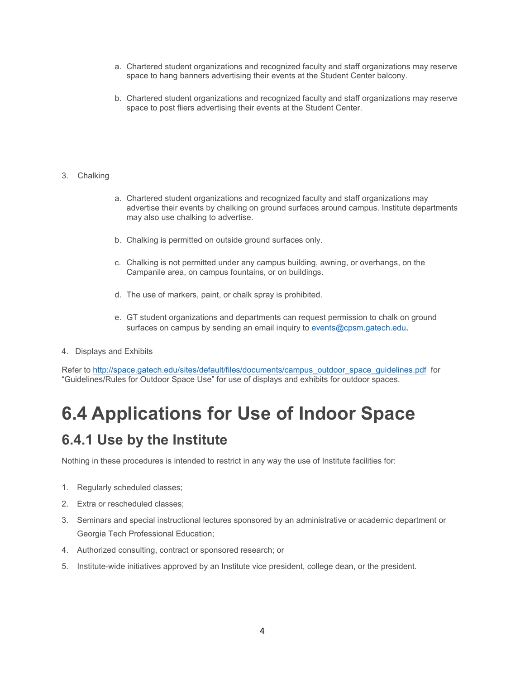- a. Chartered student organizations and recognized faculty and staff organizations may reserve space to hang banners advertising their events at the Student Center balcony.
- b. Chartered student organizations and recognized faculty and staff organizations may reserve space to post fliers advertising their events at the Student Center.

### 3. Chalking

- a. Chartered student organizations and recognized faculty and staff organizations may advertise their events by chalking on ground surfaces around campus. Institute departments may also use chalking to advertise.
- b. Chalking is permitted on outside ground surfaces only.
- c. Chalking is not permitted under any campus building, awning, or overhangs, on the Campanile area, on campus fountains, or on buildings.
- d. The use of markers, paint, or chalk spray is prohibited.
- e. GT student organizations and departments can request permission to chalk on ground surfaces on campus by sending an email inquiry to [events@cpsm.gatech.edu](mailto:events@cpsm.gatech.edu).
- 4. Displays and Exhibits

Refer to [http://space.gatech.edu/sites/default/files/documents/campus\\_outdoor\\_space\\_guidelines.pdf](http://space.gatech.edu/sites/default/files/documents/campus_outdoor_space_guidelines.pdf) for "Guidelines/Rules for Outdoor Space Use" for use of displays and exhibits for outdoor spaces.

# **6.4 Applications for Use of Indoor Space**

## **6.4.1 Use by the Institute**

Nothing in these procedures is intended to restrict in any way the use of Institute facilities for:

- 1. Regularly scheduled classes;
- 2. Extra or rescheduled classes;
- 3. Seminars and special instructional lectures sponsored by an administrative or academic department or Georgia Tech Professional Education;
- 4. Authorized consulting, contract or sponsored research; or
- 5. Institute-wide initiatives approved by an Institute vice president, college dean, or the president.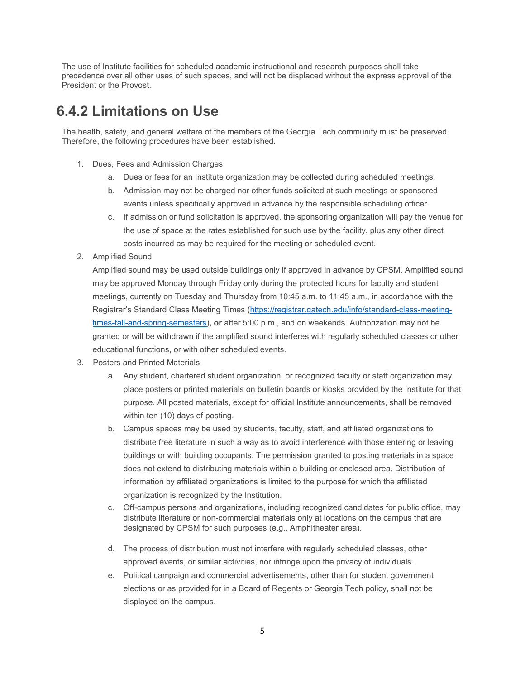The use of Institute facilities for scheduled academic instructional and research purposes shall take precedence over all other uses of such spaces, and will not be displaced without the express approval of the President or the Provost.

## **6.4.2 Limitations on Use**

The health, safety, and general welfare of the members of the Georgia Tech community must be preserved. Therefore, the following procedures have been established.

- 1. Dues, Fees and Admission Charges
	- a. Dues or fees for an Institute organization may be collected during scheduled meetings.
	- b. Admission may not be charged nor other funds solicited at such meetings or sponsored events unless specifically approved in advance by the responsible scheduling officer.
	- c. If admission or fund solicitation is approved, the sponsoring organization will pay the venue for the use of space at the rates established for such use by the facility, plus any other direct costs incurred as may be required for the meeting or scheduled event.
- 2. Amplified Sound

Amplified sound may be used outside buildings only if approved in advance by CPSM. Amplified sound may be approved Monday through Friday only during the protected hours for faculty and student meetings, currently on Tuesday and Thursday from 10:45 a.m. to 11:45 a.m., in accordance with the Registrar's Standard Class Meeting Times [\(https://registrar.gatech.edu/info/standard-class-meeting](https://registrar.gatech.edu/info/standard-class-meeting-times-fall-and-spring-semesters)[times-fall-and-spring-semesters\)](https://registrar.gatech.edu/info/standard-class-meeting-times-fall-and-spring-semesters)**, or** after 5:00 p.m., and on weekends. Authorization may not be granted or will be withdrawn if the amplified sound interferes with regularly scheduled classes or other educational functions, or with other scheduled events.

- 3. Posters and Printed Materials
	- a. Any student, chartered student organization, or recognized faculty or staff organization may place posters or printed materials on bulletin boards or kiosks provided by the Institute for that purpose. All posted materials, except for official Institute announcements, shall be removed within ten (10) days of posting.
	- b. Campus spaces may be used by students, faculty, staff, and affiliated organizations to distribute free literature in such a way as to avoid interference with those entering or leaving buildings or with building occupants. The permission granted to posting materials in a space does not extend to distributing materials within a building or enclosed area. Distribution of information by affiliated organizations is limited to the purpose for which the affiliated organization is recognized by the Institution.
	- c. Off-campus persons and organizations, including recognized candidates for public office, may distribute literature or non-commercial materials only at locations on the campus that are designated by CPSM for such purposes (e.g., Amphitheater area).
	- d. The process of distribution must not interfere with regularly scheduled classes, other approved events, or similar activities, nor infringe upon the privacy of individuals.
	- e. Political campaign and commercial advertisements, other than for student government elections or as provided for in a Board of Regents or Georgia Tech policy, shall not be displayed on the campus.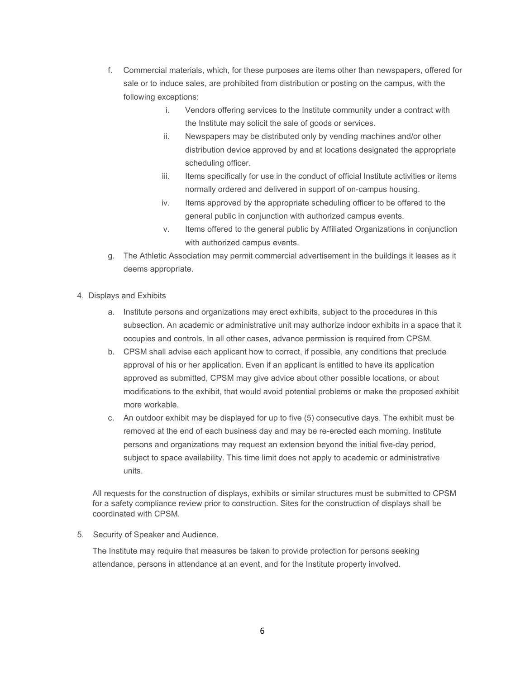- f. Commercial materials, which, for these purposes are items other than newspapers, offered for sale or to induce sales, are prohibited from distribution or posting on the campus, with the following exceptions:
	- i. Vendors offering services to the Institute community under a contract with the Institute may solicit the sale of goods or services.
	- ii. Newspapers may be distributed only by vending machines and/or other distribution device approved by and at locations designated the appropriate scheduling officer.
	- iii. Items specifically for use in the conduct of official Institute activities or items normally ordered and delivered in support of on-campus housing.
	- iv. Items approved by the appropriate scheduling officer to be offered to the general public in conjunction with authorized campus events.
	- v. Items offered to the general public by Affiliated Organizations in conjunction with authorized campus events.
- g. The Athletic Association may permit commercial advertisement in the buildings it leases as it deems appropriate.
- 4. Displays and Exhibits
	- a. Institute persons and organizations may erect exhibits, subject to the procedures in this subsection. An academic or administrative unit may authorize indoor exhibits in a space that it occupies and controls. In all other cases, advance permission is required from CPSM.
	- b. CPSM shall advise each applicant how to correct, if possible, any conditions that preclude approval of his or her application. Even if an applicant is entitled to have its application approved as submitted, CPSM may give advice about other possible locations, or about modifications to the exhibit, that would avoid potential problems or make the proposed exhibit more workable.
	- c. An outdoor exhibit may be displayed for up to five (5) consecutive days. The exhibit must be removed at the end of each business day and may be re-erected each morning. Institute persons and organizations may request an extension beyond the initial five-day period, subject to space availability. This time limit does not apply to academic or administrative units.

All requests for the construction of displays, exhibits or similar structures must be submitted to CPSM for a safety compliance review prior to construction. Sites for the construction of displays shall be coordinated with CPSM.

5. Security of Speaker and Audience.

The Institute may require that measures be taken to provide protection for persons seeking attendance, persons in attendance at an event, and for the Institute property involved.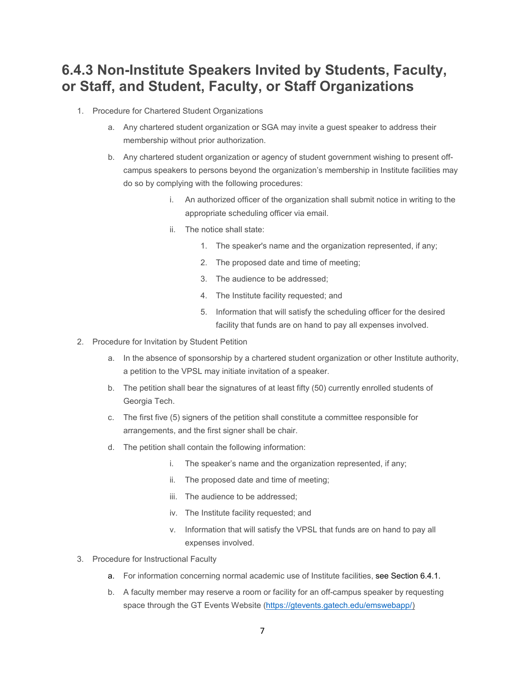## **6.4.3 Non-Institute Speakers Invited by Students, Faculty, or Staff, and Student, Faculty, or Staff Organizations**

- 1. Procedure for Chartered Student Organizations
	- a. Any chartered student organization or SGA may invite a guest speaker to address their membership without prior authorization.
	- b. Any chartered student organization or agency of student government wishing to present offcampus speakers to persons beyond the organization's membership in Institute facilities may do so by complying with the following procedures:
		- i. An authorized officer of the organization shall submit notice in writing to the appropriate scheduling officer via email.
		- ii. The notice shall state:
			- 1. The speaker's name and the organization represented, if any;
			- 2. The proposed date and time of meeting;
			- 3. The audience to be addressed;
			- 4. The Institute facility requested; and
			- 5. Information that will satisfy the scheduling officer for the desired facility that funds are on hand to pay all expenses involved.
- 2. Procedure for Invitation by Student Petition
	- a. In the absence of sponsorship by a chartered student organization or other Institute authority, a petition to the VPSL may initiate invitation of a speaker.
	- b. The petition shall bear the signatures of at least fifty (50) currently enrolled students of Georgia Tech.
	- c. The first five (5) signers of the petition shall constitute a committee responsible for arrangements, and the first signer shall be chair.
	- d. The petition shall contain the following information:
		- i. The speaker's name and the organization represented, if any;
		- ii. The proposed date and time of meeting;
		- iii. The audience to be addressed;
		- iv. The Institute facility requested; and
		- v. Information that will satisfy the VPSL that funds are on hand to pay all expenses involved.
- 3. Procedure for Instructional Faculty
	- a. For information concerning normal academic use of Institute facilities, see Section 6.4.1.
	- b. A faculty member may reserve a room or facility for an off-campus speaker by requesting space through the GT Events Website [\(https://gtevents.gatech.edu/emswebapp/\)](https://gtevents.gatech.edu/emswebapp/)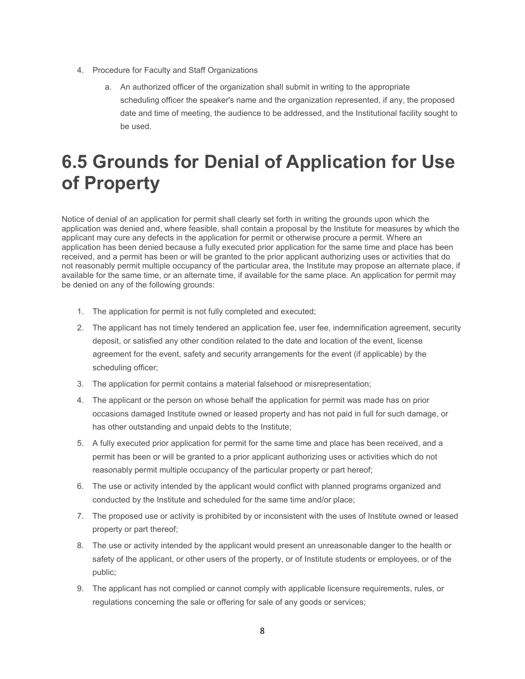- 4. Procedure for Faculty and Staff Organizations
	- a. An authorized officer of the organization shall submit in writing to the appropriate scheduling officer the speaker's name and the organization represented, if any, the proposed date and time of meeting, the audience to be addressed, and the Institutional facility sought to be used.

# **6.5 Grounds for Denial of Application for Use of Property**

Notice of denial of an application for permit shall clearly set forth in writing the grounds upon which the application was denied and, where feasible, shall contain a proposal by the Institute for measures by which the applicant may cure any defects in the application for permit or otherwise procure a permit. Where an application has been denied because a fully executed prior application for the same time and place has been received, and a permit has been or will be granted to the prior applicant authorizing uses or activities that do not reasonably permit multiple occupancy of the particular area, the Institute may propose an alternate place, if available for the same time, or an alternate time, if available for the same place. An application for permit may be denied on any of the following grounds:

- 1. The application for permit is not fully completed and executed;
- 2. The applicant has not timely tendered an application fee, user fee, indemnification agreement, security deposit, or satisfied any other condition related to the date and location of the event, license agreement for the event, safety and security arrangements for the event (if applicable) by the scheduling officer;
- 3. The application for permit contains a material falsehood or misrepresentation;
- 4. The applicant or the person on whose behalf the application for permit was made has on prior occasions damaged Institute owned or leased property and has not paid in full for such damage, or has other outstanding and unpaid debts to the Institute;
- 5. A fully executed prior application for permit for the same time and place has been received, and a permit has been or will be granted to a prior applicant authorizing uses or activities which do not reasonably permit multiple occupancy of the particular property or part hereof;
- 6. The use or activity intended by the applicant would conflict with planned programs organized and conducted by the Institute and scheduled for the same time and/or place;
- 7. The proposed use or activity is prohibited by or inconsistent with the uses of Institute owned or leased property or part thereof;
- 8. The use or activity intended by the applicant would present an unreasonable danger to the health or safety of the applicant, or other users of the property, or of Institute students or employees, or of the public;
- 9. The applicant has not complied or cannot comply with applicable licensure requirements, rules, or regulations concerning the sale or offering for sale of any goods or services;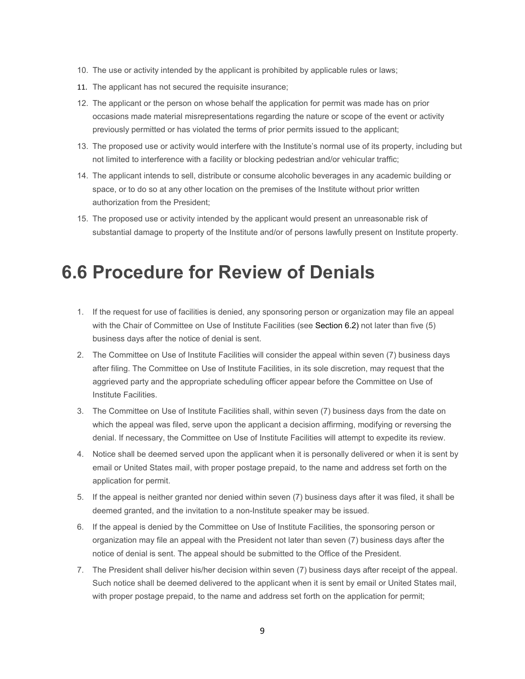- 10. The use or activity intended by the applicant is prohibited by applicable rules or laws;
- 11. The applicant has not secured the requisite insurance;
- 12. The applicant or the person on whose behalf the application for permit was made has on prior occasions made material misrepresentations regarding the nature or scope of the event or activity previously permitted or has violated the terms of prior permits issued to the applicant;
- 13. The proposed use or activity would interfere with the Institute's normal use of its property, including but not limited to interference with a facility or blocking pedestrian and/or vehicular traffic;
- 14. The applicant intends to sell, distribute or consume alcoholic beverages in any academic building or space, or to do so at any other location on the premises of the Institute without prior written authorization from the President;
- 15. The proposed use or activity intended by the applicant would present an unreasonable risk of substantial damage to property of the Institute and/or of persons lawfully present on Institute property.

## **6.6 Procedure for Review of Denials**

- 1. If the request for use of facilities is denied, any sponsoring person or organization may file an appeal with the Chair of Committee on Use of Institute Facilities (see Section 6.2) not later than five (5) business days after the notice of denial is sent.
- 2. The Committee on Use of Institute Facilities will consider the appeal within seven (7) business days after filing. The Committee on Use of Institute Facilities, in its sole discretion, may request that the aggrieved party and the appropriate scheduling officer appear before the Committee on Use of Institute Facilities.
- 3. The Committee on Use of Institute Facilities shall, within seven (7) business days from the date on which the appeal was filed, serve upon the applicant a decision affirming, modifying or reversing the denial. If necessary, the Committee on Use of Institute Facilities will attempt to expedite its review.
- 4. Notice shall be deemed served upon the applicant when it is personally delivered or when it is sent by email or United States mail, with proper postage prepaid, to the name and address set forth on the application for permit.
- 5. If the appeal is neither granted nor denied within seven (7) business days after it was filed, it shall be deemed granted, and the invitation to a non-Institute speaker may be issued.
- 6. If the appeal is denied by the Committee on Use of Institute Facilities, the sponsoring person or organization may file an appeal with the President not later than seven (7) business days after the notice of denial is sent. The appeal should be submitted to the Office of the President.
- 7. The President shall deliver his/her decision within seven (7) business days after receipt of the appeal. Such notice shall be deemed delivered to the applicant when it is sent by email or United States mail, with proper postage prepaid, to the name and address set forth on the application for permit;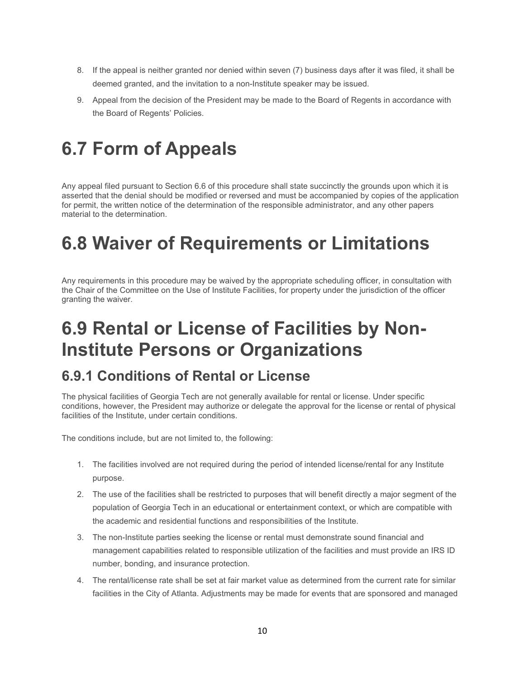- 8. If the appeal is neither granted nor denied within seven (7) business days after it was filed, it shall be deemed granted, and the invitation to a non-Institute speaker may be issued.
- 9. Appeal from the decision of the President may be made to the Board of Regents in accordance with the Board of Regents' Policies.

# **6.7 Form of Appeals**

Any appeal filed pursuant to Section 6.6 of this procedure shall state succinctly the grounds upon which it is asserted that the denial should be modified or reversed and must be accompanied by copies of the application for permit, the written notice of the determination of the responsible administrator, and any other papers material to the determination.

# **6.8 Waiver of Requirements or Limitations**

Any requirements in this procedure may be waived by the appropriate scheduling officer, in consultation with the Chair of the Committee on the Use of Institute Facilities, for property under the jurisdiction of the officer granting the waiver.

# **6.9 Rental or License of Facilities by Non-Institute Persons or Organizations**

## **6.9.1 Conditions of Rental or License**

The physical facilities of Georgia Tech are not generally available for rental or license. Under specific conditions, however, the President may authorize or delegate the approval for the license or rental of physical facilities of the Institute, under certain conditions.

The conditions include, but are not limited to, the following:

- 1. The facilities involved are not required during the period of intended license/rental for any Institute purpose.
- 2. The use of the facilities shall be restricted to purposes that will benefit directly a major segment of the population of Georgia Tech in an educational or entertainment context, or which are compatible with the academic and residential functions and responsibilities of the Institute.
- 3. The non-Institute parties seeking the license or rental must demonstrate sound financial and management capabilities related to responsible utilization of the facilities and must provide an IRS ID number, bonding, and insurance protection.
- 4. The rental/license rate shall be set at fair market value as determined from the current rate for similar facilities in the City of Atlanta. Adjustments may be made for events that are sponsored and managed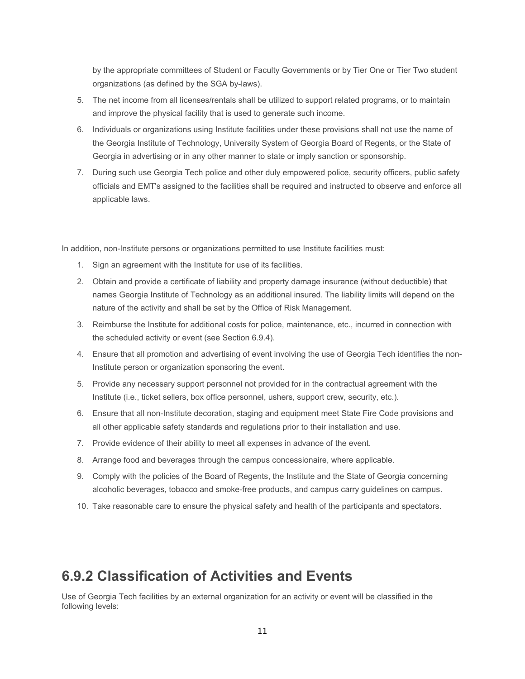by the appropriate committees of Student or Faculty Governments or by Tier One or Tier Two student organizations (as defined by the SGA by-laws).

- 5. The net income from all licenses/rentals shall be utilized to support related programs, or to maintain and improve the physical facility that is used to generate such income.
- 6. Individuals or organizations using Institute facilities under these provisions shall not use the name of the Georgia Institute of Technology, University System of Georgia Board of Regents, or the State of Georgia in advertising or in any other manner to state or imply sanction or sponsorship.
- 7. During such use Georgia Tech police and other duly empowered police, security officers, public safety officials and EMT's assigned to the facilities shall be required and instructed to observe and enforce all applicable laws.

In addition, non-Institute persons or organizations permitted to use Institute facilities must:

- 1. Sign an agreement with the Institute for use of its facilities.
- 2. Obtain and provide a certificate of liability and property damage insurance (without deductible) that names Georgia Institute of Technology as an additional insured. The liability limits will depend on the nature of the activity and shall be set by the Office of Risk Management.
- 3. Reimburse the Institute for additional costs for police, maintenance, etc., incurred in connection with the scheduled activity or event (see Section 6.9.4).
- 4. Ensure that all promotion and advertising of event involving the use of Georgia Tech identifies the non-Institute person or organization sponsoring the event.
- 5. Provide any necessary support personnel not provided for in the contractual agreement with the Institute (i.e., ticket sellers, box office personnel, ushers, support crew, security, etc.).
- 6. Ensure that all non-Institute decoration, staging and equipment meet State Fire Code provisions and all other applicable safety standards and regulations prior to their installation and use.
- 7. Provide evidence of their ability to meet all expenses in advance of the event.
- 8. Arrange food and beverages through the campus concessionaire, where applicable.
- 9. Comply with the policies of the Board of Regents, the Institute and the State of Georgia concerning alcoholic beverages, tobacco and smoke-free products, and campus carry guidelines on campus.
- 10. Take reasonable care to ensure the physical safety and health of the participants and spectators.

## **6.9.2 Classification of Activities and Events**

Use of Georgia Tech facilities by an external organization for an activity or event will be classified in the following levels: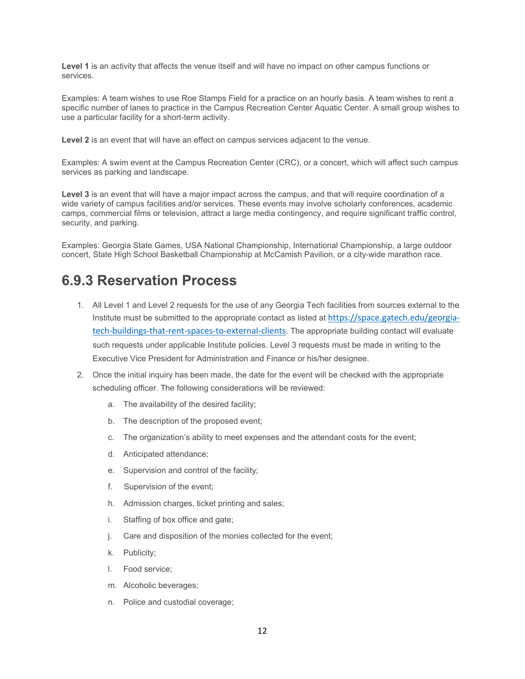**Level 1** is an activity that affects the venue itself and will have no impact on other campus functions or services.

Examples: A team wishes to use Roe Stamps Field for a practice on an hourly basis. A team wishes to rent a specific number of lanes to practice in the Campus Recreation Center Aquatic Center. A small group wishes to use a particular facility for a short-term activity.

**Level 2** is an event that will have an effect on campus services adjacent to the venue.

Examples: A swim event at the Campus Recreation Center (CRC), or a concert, which will affect such campus services as parking and landscape.

**Level 3** is an event that will have a major impact across the campus, and that will require coordination of a wide variety of campus facilities and/or services. These events may involve scholarly conferences, academic camps, commercial films or television, attract a large media contingency, and require significant traffic control, security, and parking.

Examples: Georgia State Games, USA National Championship, International Championship, a large outdoor concert, State High School Basketball Championship at McCamish Pavilion, or a city-wide marathon race.

## **6.9.3 Reservation Process**

- 1. All Level 1 and Level 2 requests for the use of any Georgia Tech facilities from sources external to the Institute must be submitted to the appropriate contact as listed at [https://space.gatech.edu/georgia](https://space.gatech.edu/georgia-tech-buildings-that-rent-spaces-to-external-clients)[tech-buildings-that-rent-spaces-to-external-clients](https://space.gatech.edu/georgia-tech-buildings-that-rent-spaces-to-external-clients). The appropriate building contact will evaluate such requests under applicable Institute policies. Level 3 requests must be made in writing to the Executive Vice President for Administration and Finance or his/her designee.
- 2. Once the initial inquiry has been made, the date for the event will be checked with the appropriate scheduling officer. The following considerations will be reviewed:
	- a. The availability of the desired facility;
	- b. The description of the proposed event;
	- c. The organization's ability to meet expenses and the attendant costs for the event;
	- d. Anticipated attendance;
	- e. Supervision and control of the facility;
	- f. Supervision of the event;
	- h. Admission charges, ticket printing and sales;
	- i. Staffing of box office and gate;
	- j. Care and disposition of the monies collected for the event;
	- k. Publicity;
	- l. Food service;
	- m. Alcoholic beverages;
	- n. Police and custodial coverage;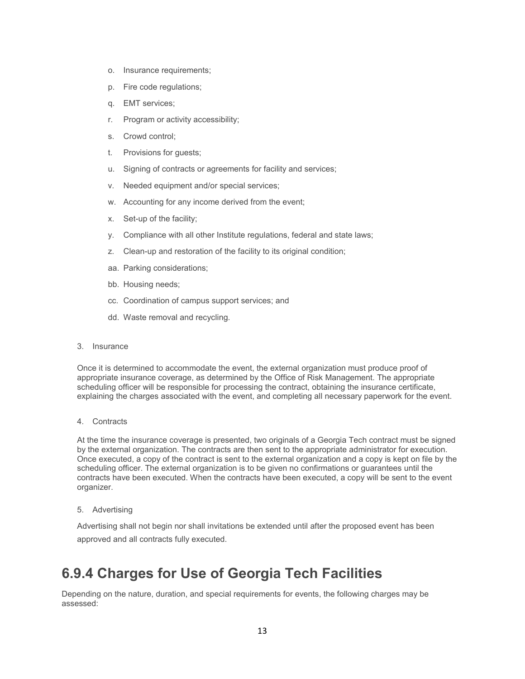- o. Insurance requirements;
- p. Fire code regulations;
- q. EMT services;
- r. Program or activity accessibility;
- s. Crowd control;
- t. Provisions for guests;
- u. Signing of contracts or agreements for facility and services;
- v. Needed equipment and/or special services;
- w. Accounting for any income derived from the event;
- x. Set-up of the facility;
- y. Compliance with all other Institute regulations, federal and state laws;
- z. Clean-up and restoration of the facility to its original condition;
- aa. Parking considerations;
- bb. Housing needs;
- cc. Coordination of campus support services; and
- dd. Waste removal and recycling.
- 3. Insurance

Once it is determined to accommodate the event, the external organization must produce proof of appropriate insurance coverage, as determined by the Office of Risk Management. The appropriate scheduling officer will be responsible for processing the contract, obtaining the insurance certificate, explaining the charges associated with the event, and completing all necessary paperwork for the event.

4. Contracts

At the time the insurance coverage is presented, two originals of a Georgia Tech contract must be signed by the external organization. The contracts are then sent to the appropriate administrator for execution. Once executed, a copy of the contract is sent to the external organization and a copy is kept on file by the scheduling officer. The external organization is to be given no confirmations or guarantees until the contracts have been executed. When the contracts have been executed, a copy will be sent to the event organizer.

5. Advertising

Advertising shall not begin nor shall invitations be extended until after the proposed event has been approved and all contracts fully executed.

## **6.9.4 Charges for Use of Georgia Tech Facilities**

Depending on the nature, duration, and special requirements for events, the following charges may be assessed: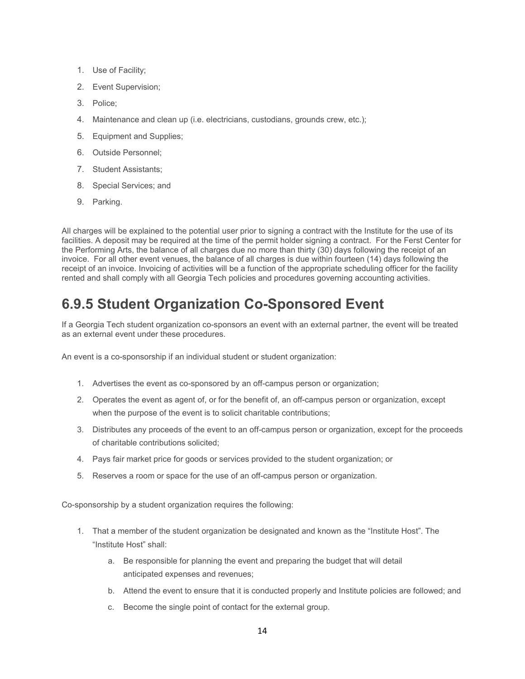- 1. Use of Facility;
- 2. Event Supervision;
- 3. Police;
- 4. Maintenance and clean up (i.e. electricians, custodians, grounds crew, etc.);
- 5. Equipment and Supplies;
- 6. Outside Personnel;
- 7. Student Assistants;
- 8. Special Services; and
- 9. Parking.

All charges will be explained to the potential user prior to signing a contract with the Institute for the use of its facilities. A deposit may be required at the time of the permit holder signing a contract. For the Ferst Center for the Performing Arts, the balance of all charges due no more than thirty (30) days following the receipt of an invoice. For all other event venues, the balance of all charges is due within fourteen (14) days following the receipt of an invoice. Invoicing of activities will be a function of the appropriate scheduling officer for the facility rented and shall comply with all Georgia Tech policies and procedures governing accounting activities.

## **6.9.5 Student Organization Co-Sponsored Event**

If a Georgia Tech student organization co-sponsors an event with an external partner, the event will be treated as an external event under these procedures.

An event is a co-sponsorship if an individual student or student organization:

- 1. Advertises the event as co-sponsored by an off-campus person or organization;
- 2. Operates the event as agent of, or for the benefit of, an off-campus person or organization, except when the purpose of the event is to solicit charitable contributions;
- 3. Distributes any proceeds of the event to an off-campus person or organization, except for the proceeds of charitable contributions solicited;
- 4. Pays fair market price for goods or services provided to the student organization; or
- 5. Reserves a room or space for the use of an off-campus person or organization.

Co-sponsorship by a student organization requires the following:

- 1. That a member of the student organization be designated and known as the "Institute Host". The "Institute Host" shall:
	- a. Be responsible for planning the event and preparing the budget that will detail anticipated expenses and revenues;
	- b. Attend the event to ensure that it is conducted properly and Institute policies are followed; and
	- c. Become the single point of contact for the external group.